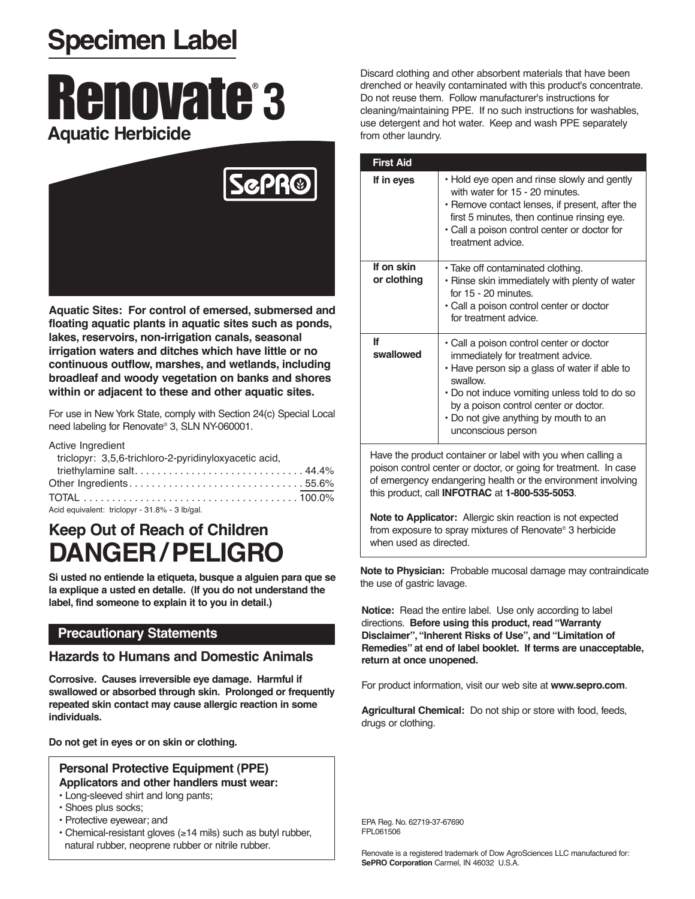## **Specimen Label**

# Renovate® **3 Aquatic Herbicide**



**Aquatic Sites: For control of emersed, submersed and floating aquatic plants in aquatic sites such as ponds, lakes, reservoirs, non-irrigation canals, seasonal irrigation waters and ditches which have little or no continuous outflow, marshes, and wetlands, including broadleaf and woody vegetation on banks and shores within or adjacent to these and other aquatic sites.**

For use in New York State, comply with Section 24(c) Special Local need labeling for Renovate® 3, SLN NY-060001.

#### Active Ingredient

| triclopyr: 3,5,6-trichloro-2-pyridinyloxyacetic acid, |
|-------------------------------------------------------|
| triethylamine salt 44.4%                              |
|                                                       |
|                                                       |

Acid equivalent: triclopyr - 31.8% - 3 lb/gal.

## **Keep Out of Reach of Children DANGER/PELIGRO**

**Si usted no entiende la etiqueta, busque a alguien para que se la explique a usted en detalle. (If you do not understand the label, find someone to explain it to you in detail.)**

## **Precautionary Statements**

## **Hazards to Humans and Domestic Animals**

**Corrosive. Causes irreversible eye damage. Harmful if swallowed or absorbed through skin. Prolonged or frequently repeated skin contact may cause allergic reaction in some individuals.**

**Do not get in eyes or on skin or clothing.**

#### **Personal Protective Equipment (PPE) Applicators and other handlers must wear:**

- Long-sleeved shirt and long pants;
- Shoes plus socks;
- Protective eyewear; and
- Chemical-resistant gloves (≥14 mils) such as butyl rubber, natural rubber, neoprene rubber or nitrile rubber.

Discard clothing and other absorbent materials that have been drenched or heavily contaminated with this product's concentrate. Do not reuse them. Follow manufacturer's instructions for cleaning/maintaining PPE. If no such instructions for washables, use detergent and hot water. Keep and wash PPE separately from other laundry.

| <b>First Aid</b>          |                                                                                                                                                                                                                                                                                                     |
|---------------------------|-----------------------------------------------------------------------------------------------------------------------------------------------------------------------------------------------------------------------------------------------------------------------------------------------------|
| If in eyes                | • Hold eye open and rinse slowly and gently<br>with water for 15 - 20 minutes.<br>• Remove contact lenses, if present, after the<br>first 5 minutes, then continue rinsing eye.<br>· Call a poison control center or doctor for<br>treatment advice.                                                |
| If on skin<br>or clothing | • Take off contaminated clothing.<br>• Rinse skin immediately with plenty of water<br>for 15 - 20 minutes.<br>• Call a poison control center or doctor<br>for treatment advice.                                                                                                                     |
| lf<br>swallowed           | • Call a poison control center or doctor<br>immediately for treatment advice.<br>• Have person sip a glass of water if able to<br>swallow.<br>• Do not induce vomiting unless told to do so<br>by a poison control center or doctor.<br>. Do not give anything by mouth to an<br>unconscious person |

Have the product container or label with you when calling a poison control center or doctor, or going for treatment. In case of emergency endangering health or the environment involving this product, call **INFOTRAC** at **1-800-535-5053**.

**Note to Applicator:** Allergic skin reaction is not expected from exposure to spray mixtures of Renovate® 3 herbicide when used as directed.

**Note to Physician:** Probable mucosal damage may contraindicate the use of gastric lavage.

**Notice:** Read the entire label. Use only according to label directions. **Before using this product, read "Warranty Disclaimer","Inherent Risks of Use", and "Limitation of Remedies" at end of label booklet. If terms are unacceptable, return at once unopened.**

For product information, visit our web site at **www.sepro.com**.

**Agricultural Chemical:** Do not ship or store with food, feeds, drugs or clothing.

EPA Reg. No. 62719-37-67690 FPL061506

Renovate is a registered trademark of Dow AgroSciences LLC manufactured for: **SePRO Corporation** Carmel, IN 46032 U.S.A.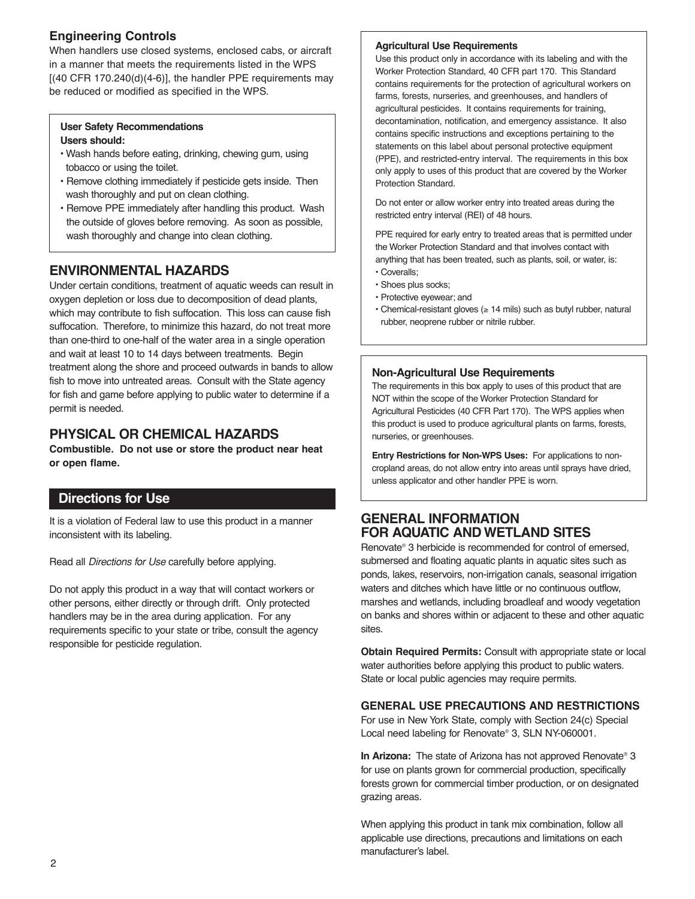## **Engineering Controls**

When handlers use closed systems, enclosed cabs, or aircraft in a manner that meets the requirements listed in the WPS  $[(40 CFR 170.240(d)(4-6)]$ , the handler PPE requirements may be reduced or modified as specified in the WPS.

#### **User Safety Recommendations Users should:**

- Wash hands before eating, drinking, chewing gum, using tobacco or using the toilet.
- Remove clothing immediately if pesticide gets inside. Then wash thoroughly and put on clean clothing.
- Remove PPE immediately after handling this product. Wash the outside of gloves before removing. As soon as possible, wash thoroughly and change into clean clothing.

## **ENVIRONMENTAL HAZARDS**

Under certain conditions, treatment of aquatic weeds can result in oxygen depletion or loss due to decomposition of dead plants, which may contribute to fish suffocation. This loss can cause fish suffocation. Therefore, to minimize this hazard, do not treat more than one-third to one-half of the water area in a single operation and wait at least 10 to 14 days between treatments. Begin treatment along the shore and proceed outwards in bands to allow fish to move into untreated areas. Consult with the State agency for fish and game before applying to public water to determine if a permit is needed.

## **PHYSICAL OR CHEMICAL HAZARDS**

**Combustible. Do not use or store the product near heat or open flame.**

## **Directions for Use**

It is a violation of Federal law to use this product in a manner inconsistent with its labeling.

Read all Directions for Use carefully before applying.

Do not apply this product in a way that will contact workers or other persons, either directly or through drift. Only protected handlers may be in the area during application. For any requirements specific to your state or tribe, consult the agency responsible for pesticide regulation.

#### **Agricultural Use Requirements**

Use this product only in accordance with its labeling and with the Worker Protection Standard, 40 CFR part 170. This Standard contains requirements for the protection of agricultural workers on farms, forests, nurseries, and greenhouses, and handlers of agricultural pesticides. It contains requirements for training, decontamination, notification, and emergency assistance. It also contains specific instructions and exceptions pertaining to the statements on this label about personal protective equipment (PPE), and restricted-entry interval. The requirements in this box only apply to uses of this product that are covered by the Worker Protection Standard.

Do not enter or allow worker entry into treated areas during the restricted entry interval (REI) of 48 hours.

PPE required for early entry to treated areas that is permitted under the Worker Protection Standard and that involves contact with anything that has been treated, such as plants, soil, or water, is: • Coveralls;

- Shoes plus socks;
- Protective eyewear; and
- Chemical-resistant gloves (≥ 14 mils) such as butyl rubber, natural rubber, neoprene rubber or nitrile rubber.

#### **Non-Agricultural Use Requirements**

The requirements in this box apply to uses of this product that are NOT within the scope of the Worker Protection Standard for Agricultural Pesticides (40 CFR Part 170). The WPS applies when this product is used to produce agricultural plants on farms, forests, nurseries, or greenhouses.

**Entry Restrictions for Non-WPS Uses:** For applications to noncropland areas, do not allow entry into areas until sprays have dried, unless applicator and other handler PPE is worn.

## **GENERAL INFORMATION FOR AQUATIC AND WETLAND SITES**

Renovate® 3 herbicide is recommended for control of emersed, submersed and floating aquatic plants in aquatic sites such as ponds, lakes, reservoirs, non-irrigation canals, seasonal irrigation waters and ditches which have little or no continuous outflow, marshes and wetlands, including broadleaf and woody vegetation on banks and shores within or adjacent to these and other aquatic sites.

**Obtain Required Permits:** Consult with appropriate state or local water authorities before applying this product to public waters. State or local public agencies may require permits.

#### **GENERAL USE PRECAUTIONS AND RESTRICTIONS**

For use in New York State, comply with Section 24(c) Special Local need labeling for Renovate® 3, SLN NY-060001.

**In Arizona:** The state of Arizona has not approved Renovate® 3 for use on plants grown for commercial production, specifically forests grown for commercial timber production, or on designated grazing areas.

When applying this product in tank mix combination, follow all applicable use directions, precautions and limitations on each manufacturer's label.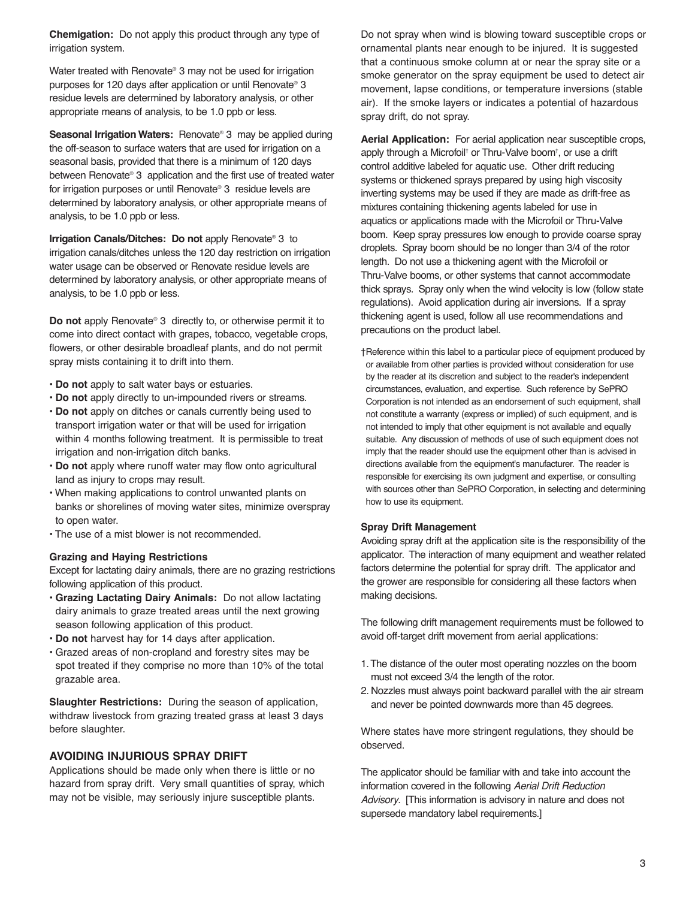**Chemigation:** Do not apply this product through any type of irrigation system.

Water treated with Renovate® 3 may not be used for irrigation purposes for 120 days after application or until Renovate® 3 residue levels are determined by laboratory analysis, or other appropriate means of analysis, to be 1.0 ppb or less.

**Seasonal Irrigation Waters:** Renovate<sup>®</sup> 3 may be applied during the off-season to surface waters that are used for irrigation on a seasonal basis, provided that there is a minimum of 120 days between Renovate® 3 application and the first use of treated water for irrigation purposes or until Renovate® 3 residue levels are determined by laboratory analysis, or other appropriate means of analysis, to be 1.0 ppb or less.

**Irrigation Canals/Ditches: Do not** apply Renovate® 3 to irrigation canals/ditches unless the 120 day restriction on irrigation water usage can be observed or Renovate residue levels are determined by laboratory analysis, or other appropriate means of analysis, to be 1.0 ppb or less.

**Do not** apply Renovate® 3 directly to, or otherwise permit it to come into direct contact with grapes, tobacco, vegetable crops, flowers, or other desirable broadleaf plants, and do not permit spray mists containing it to drift into them.

- **Do not** apply to salt water bays or estuaries.
- **Do not** apply directly to un-impounded rivers or streams.
- **Do not** apply on ditches or canals currently being used to transport irrigation water or that will be used for irrigation within 4 months following treatment. It is permissible to treat irrigation and non-irrigation ditch banks.
- **Do not** apply where runoff water may flow onto agricultural land as injury to crops may result.
- When making applications to control unwanted plants on banks or shorelines of moving water sites, minimize overspray to open water.
- The use of a mist blower is not recommended.

#### **Grazing and Haying Restrictions**

Except for lactating dairy animals, there are no grazing restrictions following application of this product.

- **Grazing Lactating Dairy Animals:** Do not allow lactating dairy animals to graze treated areas until the next growing season following application of this product.
- **Do not** harvest hay for 14 days after application.
- Grazed areas of non-cropland and forestry sites may be spot treated if they comprise no more than 10% of the total grazable area.

**Slaughter Restrictions:** During the season of application, withdraw livestock from grazing treated grass at least 3 days before slaughter.

#### **AVOIDING INJURIOUS SPRAY DRIFT**

Applications should be made only when there is little or no hazard from spray drift. Very small quantities of spray, which may not be visible, may seriously injure susceptible plants.

Do not spray when wind is blowing toward susceptible crops or ornamental plants near enough to be injured. It is suggested that a continuous smoke column at or near the spray site or a smoke generator on the spray equipment be used to detect air movement, lapse conditions, or temperature inversions (stable air). If the smoke layers or indicates a potential of hazardous spray drift, do not spray.

**Aerial Application:** For aerial application near susceptible crops, apply through a Microfoil† or Thru-Valve boom† , or use a drift control additive labeled for aquatic use. Other drift reducing systems or thickened sprays prepared by using high viscosity inverting systems may be used if they are made as drift-free as mixtures containing thickening agents labeled for use in aquatics or applications made with the Microfoil or Thru-Valve boom. Keep spray pressures low enough to provide coarse spray droplets. Spray boom should be no longer than 3/4 of the rotor length. Do not use a thickening agent with the Microfoil or Thru-Valve booms, or other systems that cannot accommodate thick sprays. Spray only when the wind velocity is low (follow state regulations). Avoid application during air inversions. If a spray thickening agent is used, follow all use recommendations and precautions on the product label.

†Reference within this label to a particular piece of equipment produced by or available from other parties is provided without consideration for use by the reader at its discretion and subject to the reader's independent circumstances, evaluation, and expertise. Such reference by SePRO Corporation is not intended as an endorsement of such equipment, shall not constitute a warranty (express or implied) of such equipment, and is not intended to imply that other equipment is not available and equally suitable. Any discussion of methods of use of such equipment does not imply that the reader should use the equipment other than is advised in directions available from the equipment's manufacturer. The reader is responsible for exercising its own judgment and expertise, or consulting with sources other than SePRO Corporation, in selecting and determining how to use its equipment.

#### **Spray Drift Management**

Avoiding spray drift at the application site is the responsibility of the applicator. The interaction of many equipment and weather related factors determine the potential for spray drift. The applicator and the grower are responsible for considering all these factors when making decisions.

The following drift management requirements must be followed to avoid off-target drift movement from aerial applications:

- 1.The distance of the outer most operating nozzles on the boom must not exceed 3/4 the length of the rotor.
- 2. Nozzles must always point backward parallel with the air stream and never be pointed downwards more than 45 degrees.

Where states have more stringent regulations, they should be observed.

The applicator should be familiar with and take into account the information covered in the following Aerial Drift Reduction Advisory. [This information is advisory in nature and does not supersede mandatory label requirements.]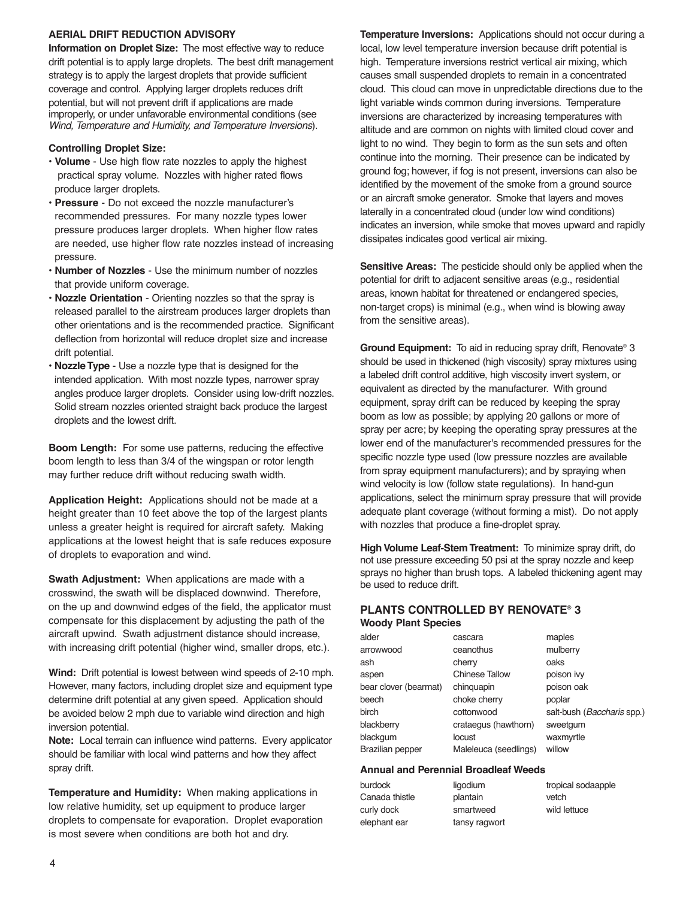#### **AERIAL DRIFT REDUCTION ADVISORY**

**Information on Droplet Size:** The most effective way to reduce drift potential is to apply large droplets. The best drift management strategy is to apply the largest droplets that provide sufficient coverage and control. Applying larger droplets reduces drift potential, but will not prevent drift if applications are made improperly, or under unfavorable environmental conditions (see Wind, Temperature and Humidity, and Temperature Inversions).

#### **Controlling Droplet Size:**

- **Volume** Use high flow rate nozzles to apply the highest practical spray volume. Nozzles with higher rated flows produce larger droplets.
- **Pressure** Do not exceed the nozzle manufacturer's recommended pressures. For many nozzle types lower pressure produces larger droplets. When higher flow rates are needed, use higher flow rate nozzles instead of increasing pressure.
- **Number of Nozzles** Use the minimum number of nozzles that provide uniform coverage.
- **Nozzle Orientation** Orienting nozzles so that the spray is released parallel to the airstream produces larger droplets than other orientations and is the recommended practice. Significant deflection from horizontal will reduce droplet size and increase drift potential.
- **Nozzle Type** Use a nozzle type that is designed for the intended application. With most nozzle types, narrower spray angles produce larger droplets. Consider using low-drift nozzles. Solid stream nozzles oriented straight back produce the largest droplets and the lowest drift.

**Boom Length:** For some use patterns, reducing the effective boom length to less than 3/4 of the wingspan or rotor length may further reduce drift without reducing swath width.

**Application Height:** Applications should not be made at a height greater than 10 feet above the top of the largest plants unless a greater height is required for aircraft safety. Making applications at the lowest height that is safe reduces exposure of droplets to evaporation and wind.

**Swath Adjustment:** When applications are made with a crosswind, the swath will be displaced downwind. Therefore, on the up and downwind edges of the field, the applicator must compensate for this displacement by adjusting the path of the aircraft upwind. Swath adjustment distance should increase, with increasing drift potential (higher wind, smaller drops, etc.).

**Wind:** Drift potential is lowest between wind speeds of 2-10 mph. However, many factors, including droplet size and equipment type determine drift potential at any given speed. Application should be avoided below 2 mph due to variable wind direction and high inversion potential.

**Note:** Local terrain can influence wind patterns. Every applicator should be familiar with local wind patterns and how they affect spray drift.

**Temperature and Humidity:** When making applications in low relative humidity, set up equipment to produce larger droplets to compensate for evaporation. Droplet evaporation is most severe when conditions are both hot and dry.

**Temperature Inversions:** Applications should not occur during a local, low level temperature inversion because drift potential is high. Temperature inversions restrict vertical air mixing, which causes small suspended droplets to remain in a concentrated cloud. This cloud can move in unpredictable directions due to the light variable winds common during inversions. Temperature inversions are characterized by increasing temperatures with altitude and are common on nights with limited cloud cover and light to no wind. They begin to form as the sun sets and often continue into the morning. Their presence can be indicated by ground fog; however, if fog is not present, inversions can also be identified by the movement of the smoke from a ground source or an aircraft smoke generator. Smoke that layers and moves laterally in a concentrated cloud (under low wind conditions) indicates an inversion, while smoke that moves upward and rapidly dissipates indicates good vertical air mixing.

**Sensitive Areas:** The pesticide should only be applied when the potential for drift to adjacent sensitive areas (e.g., residential areas, known habitat for threatened or endangered species, non-target crops) is minimal (e.g., when wind is blowing away from the sensitive areas).

**Ground Equipment:** To aid in reducing spray drift, Renovate® 3 should be used in thickened (high viscosity) spray mixtures using a labeled drift control additive, high viscosity invert system, or equivalent as directed by the manufacturer. With ground equipment, spray drift can be reduced by keeping the spray boom as low as possible; by applying 20 gallons or more of spray per acre; by keeping the operating spray pressures at the lower end of the manufacturer's recommended pressures for the specific nozzle type used (low pressure nozzles are available from spray equipment manufacturers); and by spraying when wind velocity is low (follow state regulations). In hand-gun applications, select the minimum spray pressure that will provide adequate plant coverage (without forming a mist). Do not apply with nozzles that produce a fine-droplet spray.

**High Volume Leaf-Stem Treatment:** To minimize spray drift, do not use pressure exceeding 50 psi at the spray nozzle and keep sprays no higher than brush tops. A labeled thickening agent may be used to reduce drift.

#### **PLANTS CONTROLLED BY RENOVATE® 3 Woody Plant Species**

| alder                 | cascara               | maples                     |
|-----------------------|-----------------------|----------------------------|
| arrowwood             | ceanothus             | mulberry                   |
| ash                   | cherry                | oaks                       |
| aspen                 | <b>Chinese Tallow</b> | poison ivy                 |
| bear clover (bearmat) | chinguapin            | poison oak                 |
| beech                 | choke cherry          | poplar                     |
| birch                 | cottonwood            | salt-bush (Baccharis spp.) |
| blackberry            | crataegus (hawthorn)  | sweetgum                   |
| blackgum              | locust                | waxmyrtle                  |
| Brazilian pepper      | Maleleuca (seedlings) | willow                     |

#### **Annual and Perennial Broadleaf Weeds**

| burdock        | ligodium      |
|----------------|---------------|
| Canada thistle | plantain      |
| curly dock     | smartweed     |
| elephant ear   | tansy ragwort |
|                |               |

tropical sodaapple vetch wild lettuce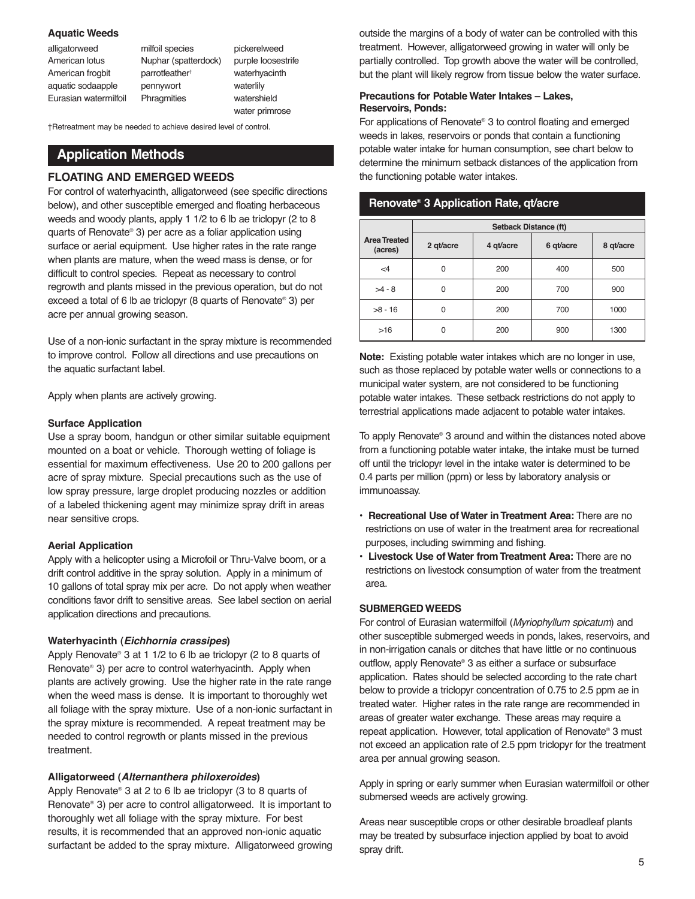#### **Aquatic Weeds**

| alligatorweed         | milfoil species            |
|-----------------------|----------------------------|
| American lotus        | Nuphar (spatte             |
| American frogbit      | parrotfeather <sup>+</sup> |
| aquatic sodaapple     | pennywort                  |
| Eurasian watermilfoil | Phragmities                |

Nuphar (spatterdock) pickerelweed purple loosestrife waterhyacinth waterlily watershield water primrose

†Retreatment may be needed to achieve desired level of control.

### **Application Methods**

#### **FLOATING AND EMERGED WEEDS**

For control of waterhyacinth, alligatorweed (see specific directions below), and other susceptible emerged and floating herbaceous weeds and woody plants, apply 1 1/2 to 6 lb ae triclopyr (2 to 8 quarts of Renovate® 3) per acre as a foliar application using surface or aerial equipment. Use higher rates in the rate range when plants are mature, when the weed mass is dense, or for difficult to control species. Repeat as necessary to control regrowth and plants missed in the previous operation, but do not exceed a total of 6 lb ae triclopyr (8 quarts of Renovate® 3) per acre per annual growing season.

Use of a non-ionic surfactant in the spray mixture is recommended to improve control. Follow all directions and use precautions on the aquatic surfactant label.

Apply when plants are actively growing.

#### **Surface Application**

Use a spray boom, handgun or other similar suitable equipment mounted on a boat or vehicle. Thorough wetting of foliage is essential for maximum effectiveness. Use 20 to 200 gallons per acre of spray mixture. Special precautions such as the use of low spray pressure, large droplet producing nozzles or addition of a labeled thickening agent may minimize spray drift in areas near sensitive crops.

#### **Aerial Application**

Apply with a helicopter using a Microfoil or Thru-Valve boom, or a drift control additive in the spray solution. Apply in a minimum of 10 gallons of total spray mix per acre. Do not apply when weather conditions favor drift to sensitive areas. See label section on aerial application directions and precautions.

#### **Waterhyacinth (Eichhornia crassipes)**

Apply Renovate® 3 at 1 1/2 to 6 lb ae triclopyr (2 to 8 quarts of Renovate® 3) per acre to control waterhyacinth. Apply when plants are actively growing. Use the higher rate in the rate range when the weed mass is dense. It is important to thoroughly wet all foliage with the spray mixture. Use of a non-ionic surfactant in the spray mixture is recommended. A repeat treatment may be needed to control regrowth or plants missed in the previous treatment.

#### **Alligatorweed (Alternanthera philoxeroides)**

Apply Renovate® 3 at 2 to 6 lb ae triclopyr (3 to 8 quarts of Renovate® 3) per acre to control alligatorweed. It is important to thoroughly wet all foliage with the spray mixture. For best results, it is recommended that an approved non-ionic aquatic surfactant be added to the spray mixture. Alligatorweed growing outside the margins of a body of water can be controlled with this treatment. However, alligatorweed growing in water will only be partially controlled. Top growth above the water will be controlled, but the plant will likely regrow from tissue below the water surface.

#### **Precautions for Potable Water Intakes – Lakes, Reservoirs, Ponds:**

For applications of Renovate® 3 to control floating and emerged weeds in lakes, reservoirs or ponds that contain a functioning potable water intake for human consumption, see chart below to determine the minimum setback distances of the application from the functioning potable water intakes.

#### **Renovate® 3 Application Rate, qt/acre**

|                                | <b>Setback Distance (ft)</b> |           |           |           |  |
|--------------------------------|------------------------------|-----------|-----------|-----------|--|
| <b>Area Treated</b><br>(acres) | 2 gt/acre                    | 4 qt/acre | 6 qt/acre | 8 qt/acre |  |
| $\leq 4$                       | O                            | 200       | 400       | 500       |  |
| $>4 - 8$                       |                              | 200       | 700       | 900       |  |
| $>8 - 16$                      |                              | 200       | 700       | 1000      |  |
| >16                            |                              | 200       | 900       | 1300      |  |

**Note:** Existing potable water intakes which are no longer in use, such as those replaced by potable water wells or connections to a municipal water system, are not considered to be functioning potable water intakes. These setback restrictions do not apply to terrestrial applications made adjacent to potable water intakes.

To apply Renovate® 3 around and within the distances noted above from a functioning potable water intake, the intake must be turned off until the triclopyr level in the intake water is determined to be 0.4 parts per million (ppm) or less by laboratory analysis or immunoassay.

- **Recreational Use of Water in Treatment Area:** There are no restrictions on use of water in the treatment area for recreational purposes, including swimming and fishing.
- **Livestock Use of Water from Treatment Area:** There are no restrictions on livestock consumption of water from the treatment area.

#### **SUBMERGED WEEDS**

For control of Eurasian watermilfoil (Myriophyllum spicatum) and other susceptible submerged weeds in ponds, lakes, reservoirs, and in non-irrigation canals or ditches that have little or no continuous outflow, apply Renovate® 3 as either a surface or subsurface application. Rates should be selected according to the rate chart below to provide a triclopyr concentration of 0.75 to 2.5 ppm ae in treated water. Higher rates in the rate range are recommended in areas of greater water exchange. These areas may require a repeat application. However, total application of Renovate® 3 must not exceed an application rate of 2.5 ppm triclopyr for the treatment area per annual growing season.

Apply in spring or early summer when Eurasian watermilfoil or other submersed weeds are actively growing.

Areas near susceptible crops or other desirable broadleaf plants may be treated by subsurface injection applied by boat to avoid spray drift.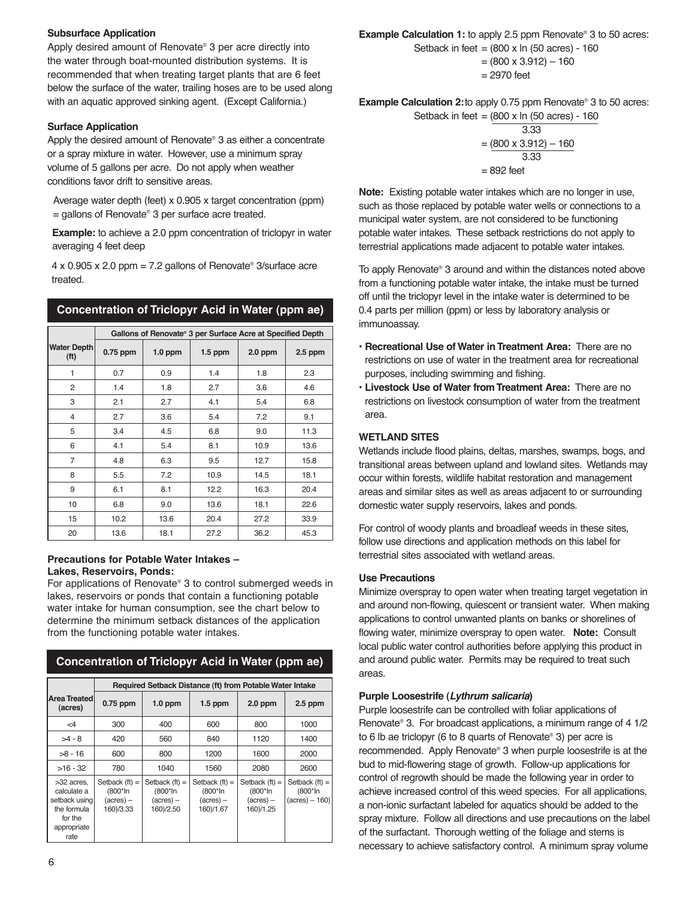#### **Subsurface Application**

Apply desired amount of Renovate® 3 per acre directly into the water through boat-mounted distribution systems. It is recommended that when treating target plants that are 6 feet below the surface of the water, trailing hoses are to be used along with an aquatic approved sinking agent. (Except California.)

#### **Surface Application**

Apply the desired amount of Renovate® 3 as either a concentrate or a spray mixture in water. However, use a minimum spray volume of 5 gallons per acre. Do not apply when weather conditions favor drift to sensitive areas.

Average water depth (feet) x 0.905 x target concentration (ppm)  $=$  gallons of Renovate® 3 per surface acre treated.

**Example:** to achieve a 2.0 ppm concentration of triclopyr in water averaging 4 feet deep

 $4 \times 0.905 \times 2.0$  ppm = 7.2 gallons of Renovate® 3/surface acre treated.

|                                     | Gallons of Renovate® 3 per Surface Acre at Specified Depth |           |           |           |           |
|-------------------------------------|------------------------------------------------------------|-----------|-----------|-----------|-----------|
| <b>Water Depth</b><br>( <b>ft</b> ) | $0.75$ ppm                                                 | $1.0$ ppm | $1.5$ ppm | $2.0$ ppm | $2.5$ ppm |
| 1                                   | 0.7                                                        | 0.9       | 1.4       | 1.8       | 2.3       |
| 2                                   | 1.4                                                        | 1.8       | 2.7       | 3.6       | 4.6       |
| 3                                   | 2.1                                                        | 2.7       | 4.1       | 5.4       | 6.8       |
| 4                                   | 2.7                                                        | 3.6       | 5.4       | 7.2       | 9.1       |
| 5                                   | 3.4                                                        | 4.5       | 6.8       | 9.0       | 11.3      |
| 6                                   | 4.1                                                        | 5.4       | 8.1       | 10.9      | 13.6      |
| 7                                   | 4.8                                                        | 6.3       | 9.5       | 12.7      | 15.8      |
| 8                                   | 5.5                                                        | 7.2       | 10.9      | 14.5      | 18.1      |
| 9                                   | 6.1                                                        | 8.1       | 12.2      | 16.3      | 20.4      |
| 10                                  | 6.8                                                        | 9.0       | 13.6      | 18.1      | 22.6      |
| 15                                  | 10.2                                                       | 13.6      | 20.4      | 27.2      | 33.9      |
| 20                                  | 13.6                                                       | 18.1      | 27.2      | 36.2      | 45.3      |

#### **Concentration of Triclopyr Acid in Water (ppm ae)**

#### **Precautions for Potable Water Intakes – Lakes, Reservoirs, Ponds:**

For applications of Renovate® 3 to control submerged weeds in lakes, reservoirs or ponds that contain a functioning potable water intake for human consumption, see the chart below to determine the minimum setback distances of the application from the functioning potable water intakes.

| Concentration of Triclopyr Acid in Water (ppm ae)                                           |                                                                |                                                          |                                                                |                                                                  |                                                        |
|---------------------------------------------------------------------------------------------|----------------------------------------------------------------|----------------------------------------------------------|----------------------------------------------------------------|------------------------------------------------------------------|--------------------------------------------------------|
|                                                                                             | Required Setback Distance (ft) from Potable Water Intake       |                                                          |                                                                |                                                                  |                                                        |
| Area Treated<br>(acres)                                                                     | $0.75$ ppm                                                     | $1.0$ ppm                                                | $1.5$ ppm                                                      | $2.0$ ppm                                                        | $2.5$ ppm                                              |
| $\leq 4$                                                                                    | 300                                                            | 400                                                      | 600                                                            | 800                                                              | 1000                                                   |
| $>4 - 8$                                                                                    | 420                                                            | 560                                                      | 840                                                            | 1120                                                             | 1400                                                   |
| $>8 - 16$                                                                                   | 600                                                            | 800                                                      | 1200                                                           | 1600                                                             | 2000                                                   |
| $>16 - 32$                                                                                  | 780                                                            | 1040                                                     | 1560                                                           | 2080                                                             | 2600                                                   |
| >32 acres.<br>calculate a<br>setback using<br>the formula<br>for the<br>appropriate<br>rate | Setback $(ft) =$<br>(800*ln<br>$(\text{acres}) -$<br>160)/3.33 | Setback $(ft)$ =<br>$(800*ln)$<br>(acres) –<br>160)/2.50 | Setback $(ft)$ =<br>(800*In<br>$(\text{acres}) -$<br>160)/1.67 | Setback $(ft)$ =<br>$(800*ln$<br>$(\text{acres}) -$<br>160)/1.25 | Setback $(ft)$ =<br>(800*In<br>$(\text{acres}) - 160)$ |

#### $= (800 \times 3.912) - 160$ = 2970 feet

**Example Calculation 2:** to apply 0.75 ppm Renovate® 3 to 50 acres:

**Example Calculation 1:** to apply 2.5 ppm Renovate<sup>®</sup> 3 to 50 acres: Setback in feet =  $(800 \times \ln(50 \text{ acres}) - 160$ 

Setback in feet = 
$$
\frac{(800 \times \ln (50 \text{ acres}) - 160)}{3.33}
$$

$$
= \frac{(800 \times 3.912) - 160}{3.33}
$$

$$
= 892 \text{ feet}
$$

**Note:** Existing potable water intakes which are no longer in use, such as those replaced by potable water wells or connections to a municipal water system, are not considered to be functioning potable water intakes. These setback restrictions do not apply to terrestrial applications made adjacent to potable water intakes.

To apply Renovate® 3 around and within the distances noted above from a functioning potable water intake, the intake must be turned off until the triclopyr level in the intake water is determined to be 0.4 parts per million (ppm) or less by laboratory analysis or immunoassay.

- **Recreational Use of Water in Treatment Area:** There are no restrictions on use of water in the treatment area for recreational purposes, including swimming and fishing.
- **Livestock Use of Water from Treatment Area:** There are no restrictions on livestock consumption of water from the treatment area.

#### **WETLAND SITES**

Wetlands include flood plains, deltas, marshes, swamps, bogs, and transitional areas between upland and lowland sites. Wetlands may occur within forests, wildlife habitat restoration and management areas and similar sites as well as areas adjacent to or surrounding domestic water supply reservoirs, lakes and ponds.

For control of woody plants and broadleaf weeds in these sites, follow use directions and application methods on this label for terrestrial sites associated with wetland areas.

#### **Use Precautions**

Minimize overspray to open water when treating target vegetation in and around non-flowing, quiescent or transient water. When making applications to control unwanted plants on banks or shorelines of flowing water, minimize overspray to open water. **Note:** Consult local public water control authorities before applying this product in and around public water. Permits may be required to treat such areas.

#### **Purple Loosestrife (Lythrum salicaria)**

Purple loosestrife can be controlled with foliar applications of Renovate® 3. For broadcast applications, a minimum range of 4 1/2 to 6 lb ae triclopyr (6 to 8 quarts of Renovate® 3) per acre is recommended. Apply Renovate® 3 when purple loosestrife is at the bud to mid-flowering stage of growth. Follow-up applications for control of regrowth should be made the following year in order to achieve increased control of this weed species. For all applications, a non-ionic surfactant labeled for aquatics should be added to the spray mixture. Follow all directions and use precautions on the label of the surfactant. Thorough wetting of the foliage and stems is necessary to achieve satisfactory control. A minimum spray volume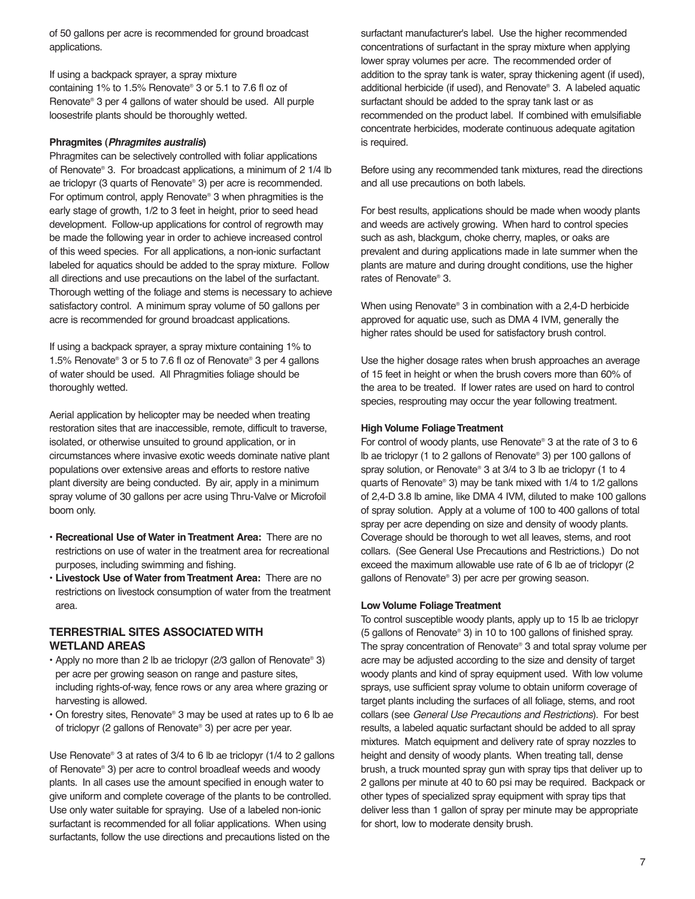of 50 gallons per acre is recommended for ground broadcast applications.

If using a backpack sprayer, a spray mixture containing 1% to 1.5% Renovate® 3 or 5.1 to 7.6 fl oz of Renovate® 3 per 4 gallons of water should be used. All purple loosestrife plants should be thoroughly wetted.

#### **Phragmites (Phragmites australis)**

Phragmites can be selectively controlled with foliar applications of Renovate® 3. For broadcast applications, a minimum of 2 1/4 lb ae triclopyr (3 quarts of Renovate® 3) per acre is recommended. For optimum control, apply Renovate® 3 when phragmities is the early stage of growth, 1/2 to 3 feet in height, prior to seed head development. Follow-up applications for control of regrowth may be made the following year in order to achieve increased control of this weed species. For all applications, a non-ionic surfactant labeled for aquatics should be added to the spray mixture. Follow all directions and use precautions on the label of the surfactant. Thorough wetting of the foliage and stems is necessary to achieve satisfactory control. A minimum spray volume of 50 gallons per acre is recommended for ground broadcast applications.

If using a backpack sprayer, a spray mixture containing 1% to 1.5% Renovate® 3 or 5 to 7.6 fl oz of Renovate® 3 per 4 gallons of water should be used. All Phragmities foliage should be thoroughly wetted.

Aerial application by helicopter may be needed when treating restoration sites that are inaccessible, remote, difficult to traverse, isolated, or otherwise unsuited to ground application, or in circumstances where invasive exotic weeds dominate native plant populations over extensive areas and efforts to restore native plant diversity are being conducted. By air, apply in a minimum spray volume of 30 gallons per acre using Thru-Valve or Microfoil boom only.

- **Recreational Use of Water in Treatment Area:** There are no restrictions on use of water in the treatment area for recreational purposes, including swimming and fishing.
- **Livestock Use of Water from Treatment Area:** There are no restrictions on livestock consumption of water from the treatment area.

#### **TERRESTRIAL SITES ASSOCIATED WITH WETLAND AREAS**

- Apply no more than 2 lb ae triclopyr (2/3 gallon of Renovate® 3) per acre per growing season on range and pasture sites, including rights-of-way, fence rows or any area where grazing or harvesting is allowed.
- On forestry sites, Renovate® 3 may be used at rates up to 6 lb ae of triclopyr (2 gallons of Renovate® 3) per acre per year.

Use Renovate® 3 at rates of 3/4 to 6 lb ae triclopyr (1/4 to 2 gallons of Renovate® 3) per acre to control broadleaf weeds and woody plants. In all cases use the amount specified in enough water to give uniform and complete coverage of the plants to be controlled. Use only water suitable for spraying. Use of a labeled non-ionic surfactant is recommended for all foliar applications. When using surfactants, follow the use directions and precautions listed on the

surfactant manufacturer's label. Use the higher recommended concentrations of surfactant in the spray mixture when applying lower spray volumes per acre. The recommended order of addition to the spray tank is water, spray thickening agent (if used), additional herbicide (if used), and Renovate® 3. A labeled aquatic surfactant should be added to the spray tank last or as recommended on the product label. If combined with emulsifiable concentrate herbicides, moderate continuous adequate agitation is required.

Before using any recommended tank mixtures, read the directions and all use precautions on both labels.

For best results, applications should be made when woody plants and weeds are actively growing. When hard to control species such as ash, blackgum, choke cherry, maples, or oaks are prevalent and during applications made in late summer when the plants are mature and during drought conditions, use the higher rates of Renovate® 3.

When using Renovate® 3 in combination with a 2,4-D herbicide approved for aquatic use, such as DMA 4 IVM, generally the higher rates should be used for satisfactory brush control.

Use the higher dosage rates when brush approaches an average of 15 feet in height or when the brush covers more than 60% of the area to be treated. If lower rates are used on hard to control species, resprouting may occur the year following treatment.

#### **High Volume Foliage Treatment**

For control of woody plants, use Renovate® 3 at the rate of 3 to 6 lb ae triclopyr (1 to 2 gallons of Renovate® 3) per 100 gallons of spray solution, or Renovate® 3 at 3/4 to 3 lb ae triclopyr (1 to 4 quarts of Renovate® 3) may be tank mixed with 1/4 to 1/2 gallons of 2,4-D 3.8 lb amine, like DMA 4 IVM, diluted to make 100 gallons of spray solution. Apply at a volume of 100 to 400 gallons of total spray per acre depending on size and density of woody plants. Coverage should be thorough to wet all leaves, stems, and root collars. (See General Use Precautions and Restrictions.) Do not exceed the maximum allowable use rate of 6 lb ae of triclopyr (2 gallons of Renovate® 3) per acre per growing season.

#### **Low Volume Foliage Treatment**

To control susceptible woody plants, apply up to 15 lb ae triclopyr (5 gallons of Renovate® 3) in 10 to 100 gallons of finished spray. The spray concentration of Renovate® 3 and total spray volume per acre may be adjusted according to the size and density of target woody plants and kind of spray equipment used. With low volume sprays, use sufficient spray volume to obtain uniform coverage of target plants including the surfaces of all foliage, stems, and root collars (see General Use Precautions and Restrictions). For best results, a labeled aquatic surfactant should be added to all spray mixtures. Match equipment and delivery rate of spray nozzles to height and density of woody plants. When treating tall, dense brush, a truck mounted spray gun with spray tips that deliver up to 2 gallons per minute at 40 to 60 psi may be required. Backpack or other types of specialized spray equipment with spray tips that deliver less than 1 gallon of spray per minute may be appropriate for short, low to moderate density brush.